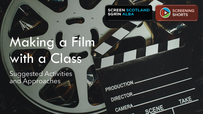#### **SCREEN SCOTLAND SGRIN ALBA**

PRODUCTION-

DIRECTOR-

CAMERA.



TAKE

SCENE

# Making a Film with a Class

Suggested Activities and Approaches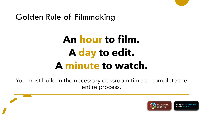## Golden Rule of Filmmaking

## **An hour to film. A day to edit. A minute to watch.**

You must build in the necessary classroom time to complete the entire process.

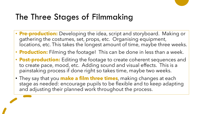## The Three Stages of Filmmaking

- **Pre-production:** Developing the idea, script and storyboard. Making or gathering the costumes, set, props, etc. Organising equipment, locations, etc. This takes the longest amount of time, maybe three weeks.
- **Production:** Filming the footage! This can be done in less than a week.
- **Post-production:** Editing the footage to create coherent sequences and to create pace, mood, etc. Adding sound and visual effects. This is a painstaking process if done right so takes time, maybe two weeks.
- They say that you **make a film three times**, making changes at each stage as needed: encourage pupils to be flexible and to keep adapting and adjusting their planned work throughout the process.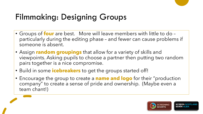## Filmmaking: Designing Groups

- Groups of **four** are best. More will leave members with little to do particularly during the editing phase – and fewer can cause problems if someone is absent.
- Assign **random groupings** that allow for a variety of skills and viewpoints. Asking pupils to choose a partner then putting two random pairs together is a nice compromise.
- Build in some **icebreakers** to get the groups started off!
- Encourage the group to create a **name and logo** for their "production company" to create a sense of pride and ownership. (Maybe even a team chant!)

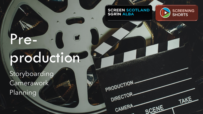### **SCREEN SCOTLAND<br>SGRÌN ALBA**

PRODUCTION-

DIRECTOR-

CAMERA-



TAKE

SCENE

## Preproduction

Storyboarding **Camerawork** Planning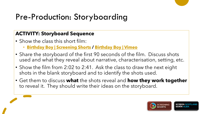## Pre-Production: Storyboarding

#### **ACTIVITY: Storyboard Sequence**

- Show the class this short film:
	- **[Birthday Boy | Screening Shorts](https://screeningshorts.org.uk/browse-films/birthday-boy) / [Birthday Boy | Vimeo](https://vimeo.com/167991341)**
- Share the storyboard of the first 90 seconds of the film. Discuss shots used and what they reveal about narrative, characterisation, setting, etc.
- Show the film from 2:02 to 2:41. Ask the class to draw the next eight shots in the blank storyboard and to identify the shots used.
- Get them to discuss **what** the shots reveal and **how they work together**  to reveal it. They should write their ideas on the storyboard.

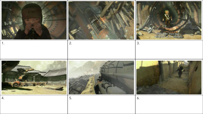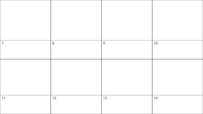| 11. | 7.  |  |
|-----|-----|--|
|     |     |  |
| 12. | 8.  |  |
| 13. | 9.  |  |
| 14. | 10. |  |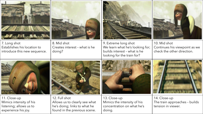| 7. Long shot<br>Establishes his location to<br>introduce this new sequence.               | 8. Mid shot<br>Creates interest - what is he<br>doing?                                                         | 9. Extreme long shot<br>We learn what he's looking for;<br>builds interest - what is he<br>looking for the train for? | 10. Mid shot<br>Continues his viewpoint as we<br>check the other direction. |
|-------------------------------------------------------------------------------------------|----------------------------------------------------------------------------------------------------------------|-----------------------------------------------------------------------------------------------------------------------|-----------------------------------------------------------------------------|
|                                                                                           |                                                                                                                |                                                                                                                       |                                                                             |
| 11. Close-up<br>Mimics intensity of his<br>listening; allows us to<br>experience his joy. | 12. Full shot<br>Allows us to clearly see what<br>he's doing; links to what he<br>found in the previous scene. | 13. Close-up<br>Mimics the intensity of his<br>concentration on what he's<br>doing.                                   | 14. Close-up<br>The train approaches - builds<br>tension in viewer.         |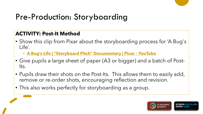## Pre-Production: Storyboarding

#### **ACTIVITY: Post-It Method**

- Show this clip from Pixar about the storyboarding process for 'A Bug's Life'.
	- **[A Bug's Life | "Storyboard Pitch" Documentary | Pixar –](https://www.youtube.com/watch?v=DlRWqK3gFAc) YouTube**
- Give pupils a large sheet of paper (A3 or bigger) and a batch of Post-Its.
- Pupils draw their shots on the Post-Its. This allows them to easily add, remove or re-order shots, encouraging reflection and revision.
- This also works perfectly for storyboarding as a group.

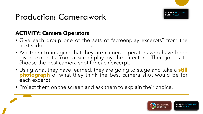

## Production: Camerawork

#### **ACTIVITY: Camera Operators**

- Give each group one of the sets of "screenplay excerpts" from the next slide.
- Ask them to imagine that they are camera operators who have been given excerpts from a screenplay by the director. Their job is to choose the best camera shot for each excerpt.
- Using what they have learned, they are going to stage and take a **still photograph** of what they think the best camera shot would be for each excerpt.
- Project them on the screen and ask them to explain their choice.

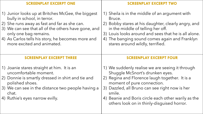| <b>SCREENPLAY EXCERPT ONE</b>                                                                                                                                                                                                                                                                       | <b>SCREENPLAY EXCERPT TWO</b>                                                                                                                                                                                                                                                                                                       |
|-----------------------------------------------------------------------------------------------------------------------------------------------------------------------------------------------------------------------------------------------------------------------------------------------------|-------------------------------------------------------------------------------------------------------------------------------------------------------------------------------------------------------------------------------------------------------------------------------------------------------------------------------------|
| 1) Junior looks up at Britches McGee, the biggest<br>bully in school, in terror.<br>2) She runs away as fast and far as she can.<br>3) We can see that all of the others have gone, and<br>only one bag remains.<br>4) As Carlos tells his story, he becomes more and<br>more excited and animated. | 1) Sheila is in the middle of an argument with<br>Bruce.<br>2) Bobby stares at his daughter, clearly angry, and<br>in the middle of telling her off.<br>3) Louis looks around and sees that he is all alone.<br>4) The banging sound comes again and Franklyn<br>stares around wildly, terrified.                                   |
| <b>SCREENPLAY EXCERPT THREE</b>                                                                                                                                                                                                                                                                     | <b>SCREENPLAY EXCERPT FOUR</b>                                                                                                                                                                                                                                                                                                      |
| 1) Joanie stares straight at him. It is an<br>uncomfortable moment.<br>2) Donnie is smartly dressed in shirt and tie and<br>polished shoes.<br>3) We can see in the distance two people having a<br>chat.<br>4) Ruthie's eyes narrow evilly.                                                        | 1) We suddenly realise we are seeing it through<br>Shuggle McSnort's drunken eyes.<br>2) Regina and Florence laugh together. It is a<br>moment of pure connection.<br>3) Dazzled, all Bruno can see right now is her<br>smile.<br>4) Beanie and Boris circle each other warily as the<br>others look on in thinly-disguised horror. |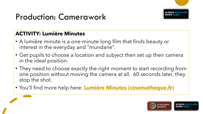

## Production: Camerawork

#### **ACTIVITY: Lumière Minutes**

- A lumière minute is a one-minute long film that finds beauty or interest in the everyday and "mundane".
- Get pupils to choose a location and subject then set up their camera in the ideal position.
- They need to choose exactly the right moment to start recording from one position without moving the camera at all. 60 seconds later, they stop the shot.
- You'll find more help here: **[Lumière Minutes \(cinematheque.fr\)](https://www.cinematheque.fr/cinema100ansdejeunesse/en/lumiere-minutes.html)**

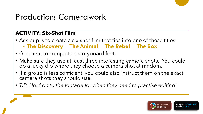## Production: Camerawork

#### **ACTIVITY: Six-Shot Film**

- Ask pupils to create a six-shot film that ties into one of these titles: • **The Discovery The Animal The Rebel The Box**
- Get them to complete a storyboard first.
- Make sure they use at least three interesting camera shots. You could do a lucky dip where they choose a camera shot at random.
- If a group is less confident, you could also instruct them on the exact camera shots they should use.
- *TIP: Hold on to the footage for when they need to practise editing!*

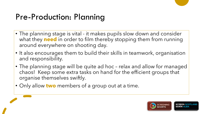## Pre-Production: Planning

- The planning stage is vital it makes pupils slow down and consider what they **need** in order to film thereby stopping them from running around everywhere on shooting day.
- It also encourages them to build their skills in teamwork, organisation and responsibility.
- The planning stage will be quite ad hoc relax and allow for managed chaos! Keep some extra tasks on hand for the efficient groups that organise themselves swiftly.
- Only allow **two** members of a group out at a time.

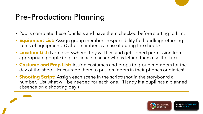## Pre-Production: Planning

- Pupils complete these four lists and have them checked before starting to film.
- **Equipment List:** Assign group members responsibility for handling/returning items of equipment. (Other members can use it during the shoot.)
- **Location List:** Note everywhere they will film and get signed permission from appropriate people (e.g. a science teacher who is letting them use the lab).
- **Costume and Prop List:** Assign costumes and props to group members for the day of the shoot. Encourage them to put reminders in their phones or diaries!
- **Shooting Script:** Assign each scene in the script/shot in the storyboard a number. List what will be needed for each one. (Handy if a pupil has a planned absence on a shooting day.)



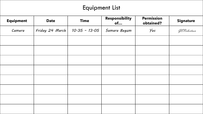### Equipment List

| <b>Equipment</b> | <b>Date</b>     | <b>Time</b>     | Responsibility<br>of | <b>Permission</b><br>obtained? | <b>Signature</b> |
|------------------|-----------------|-----------------|----------------------|--------------------------------|------------------|
| Camera           | Friday 24 March | $10.35 - 13.05$ | Samara Begum         | Yes                            | GE Robertson     |
|                  |                 |                 |                      |                                |                  |
|                  |                 |                 |                      |                                |                  |
|                  |                 |                 |                      |                                |                  |
|                  |                 |                 |                      |                                |                  |
|                  |                 |                 |                      |                                |                  |
|                  |                 |                 |                      |                                |                  |
|                  |                 |                 |                      |                                |                  |
|                  |                 |                 |                      |                                |                  |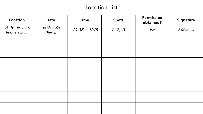#### Location List

| <b>Location</b>                 | <b>Date</b>        | <b>Time</b>     | <b>Shots</b> | <b>Permission</b><br>obtained? | <b>Signature</b> |
|---------------------------------|--------------------|-----------------|--------------|--------------------------------|------------------|
| Staff car park<br>beside school | Friday 24<br>March | $10.35 - 11.15$ | 1, 2, 3      | Yes                            | GERobertson      |
|                                 |                    |                 |              |                                |                  |
|                                 |                    |                 |              |                                |                  |
|                                 |                    |                 |              |                                |                  |
|                                 |                    |                 |              |                                |                  |
|                                 |                    |                 |              |                                |                  |
|                                 |                    |                 |              |                                |                  |
|                                 |                    |                 |              |                                |                  |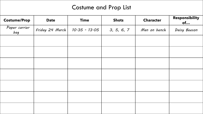#### Costume and Prop List

| <b>Costume/Prop</b>  | <b>Date</b>       | <b>Time</b>     | <b>Shots</b> | <b>Character</b> | Responsibility<br>of |
|----------------------|-------------------|-----------------|--------------|------------------|----------------------|
| Paper carrier<br>bag | Friday $24$ March | $10.35 - 13.05$ | 3, 5, 6, 7   | Man on bench     | Daisy Beeson         |
|                      |                   |                 |              |                  |                      |
|                      |                   |                 |              |                  |                      |
|                      |                   |                 |              |                  |                      |
|                      |                   |                 |              |                  |                      |
|                      |                   |                 |              |                  |                      |
|                      |                   |                 |              |                  |                      |
|                      |                   |                 |              |                  |                      |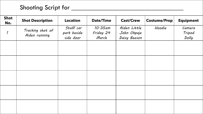### Shooting Script for \_\_\_\_\_\_\_\_\_\_\_\_\_\_\_\_\_\_\_\_\_\_\_\_\_\_\_\_\_\_\_\_\_

| <b>Shot</b><br>No.         | <b>Shot Description</b>           | <b>Location</b>                       | <b>Date/Time</b>                 | <b>Cast/Crew</b>                            | <b>Costume/Prop</b> | <b>Equipment</b>          |
|----------------------------|-----------------------------------|---------------------------------------|----------------------------------|---------------------------------------------|---------------------|---------------------------|
| $\boldsymbol{\mathcal{I}}$ | Tracking shot of<br>Aiden running | Staff car<br>park beside<br>side door | $10.35$ am<br>Friday 24<br>March | Aiden Little<br>John Okpaje<br>Daisy Beeson | Hoodie              | Camera<br>Tripod<br>Dolly |
|                            |                                   |                                       |                                  |                                             |                     |                           |
|                            |                                   |                                       |                                  |                                             |                     |                           |
|                            |                                   |                                       |                                  |                                             |                     |                           |
|                            |                                   |                                       |                                  |                                             |                     |                           |
|                            |                                   |                                       |                                  |                                             |                     |                           |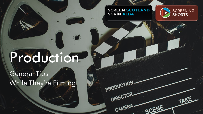### **SCREEN SCOTLAND<br>SGRÌN ALBA**

PRODUCTION-

DIRECTOR-

CAMERA-



TAKE

SCENE

## Production.

### General Tips While They're Filming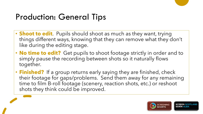## Production: General Tips

- **Shoot to edit**. Pupils should shoot as much as they want, trying things different ways, knowing that they can remove what they don't like during the editing stage.
- **No time to edit?** Get pupils to shoot footage strictly in order and to simply pause the recording between shots so it naturally flows together.
- **Finished?** If a group returns early saying they are finished, check their footage for gaps/problems. Send them away for any remaining time to film B-roll footage (scenery, reaction shots, etc.) or reshoot shots they think could be improved.

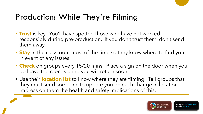## Production: While They're Filming

- **Trust** is key. You'll have spotted those who have not worked responsibly during pre-production. If you don't trust them, don't send them away.
- **Stay** in the classroom most of the time so they know where to find you in event of any issues.
- **Check** on groups every 15/20 mins. Place a sign on the door when you do leave the room stating you will return soon.
- Use their **location list** to know where they are filming. Tell groups that they must send someone to update you on each change in location. Impress on them the health and safety implications of this.

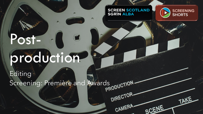### **SCREEN SCOTLAND<br>SGRÌN ALBA**

DIRECTOR-

CAMERA-



TAKE

SCENE

# Postproduction.

 $\overline{\phantom{a}}$ 

Editing Screening: Première and Awards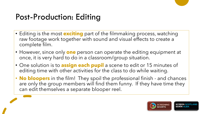## Post-Production: Editing

- Editing is the most **exciting** part of the filmmaking process, watching raw footage work together with sound and visual effects to create a complete film.
- However, since only **one** person can operate the editing equipment at once, it is very hard to do in a classroom/group situation.
- One solution is to **assign each pupil** a scene to edit or 15 minutes of editing time with other activities for the class to do while waiting.
- **No bloopers** in the film! They spoil the professional finish and chances are only the group members will find them funny. If they have time they can edit themselves a separate blooper reel.

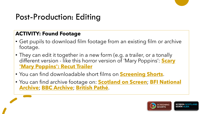## Post-Production: Editing

#### **ACTIVITY: Found Footage**

- Get pupils to download film footage from an existing film or archive footage.
- They can edit it together in a new form (e.g. a trailer, or a tonally different version - [like this horror version of 'Mary Poppins':](https://www.youtube.com/watch?v=2T5_0AGdFic) **Scary 'Mary Poppins': Recut Trailer**
- You can find downloadable short films on **[Screening Shorts](https://screeningshorts.org.uk/)**.
- [You can find archive footage on:](https://www.bfi.org.uk/bfi-national-archive) **[Scotland on Screen](https://scotlandonscreen.org.uk/)**; **BFI National Archive**; **[BBC Archive](https://www.bbc.co.uk/archive/)**; **[British Pathé](https://www.britishpathe.com/)**.

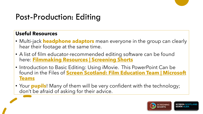## Post-Production: Editing

#### **Useful Resources**

- Multi-jack **headphone adaptors** mean everyone in the group can clearly hear their footage at the same time.
- A list of film educator-recommended editing software can be found here: **[Filmmaking Resources | Screening Shorts](https://screeningshorts.org.uk/sites/default/files/worksheets/Screening%20Shorts%20Filmmaking%20Resources.pdf)**
- Introduction to Basic Editing: Using iMovie. This PowerPoint Can be found in the Files of **[Screen Scotland: Film Education Team | Microsoft](https://teams.microsoft.com/l/team/19%3a54f54d329ff94b04b8b97a4d66975e5c%40thread.tacv2/conversations?groupId=f25ccdfb-bfaa-4106-a7f2-12a4172c02ee&tenantId=ccd32ca3-16ce-428f-9541-372d6b051929) Teams**
- Your **pupils**! Many of them will be very confident with the technology; don't be afraid of asking for their advice.

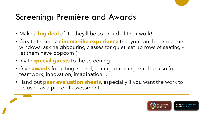## Screening: Première and Awards

- Make a **big deal** of it they'll be so proud of their work!
- Create the most **cinema-like experience** that you can: black out the windows, ask neighbouring classes for quiet, set up rows of seating – let them have popcorn!)
- Invite **special guests** to the screening.
- Give **awards** for acting, sound, editing, directing, etc. but also for teamwork, innovation, imagination…
- Hand out **peer evaluation sheets**, especially if you want the work to be used as a piece of assessment.

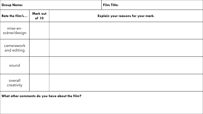| <b>Group Name:</b>        |                   |  | <b>Film Title:</b>                  |  |  |
|---------------------------|-------------------|--|-------------------------------------|--|--|
| Rate the film's           | Mark out<br>of 10 |  | Explain your reasons for your mark. |  |  |
| mise-en-<br>scène/design  |                   |  |                                     |  |  |
| camerawork<br>and editing |                   |  |                                     |  |  |
| sound                     |                   |  |                                     |  |  |
| overall<br>creativity     |                   |  |                                     |  |  |

**What other comments do you have about the film?**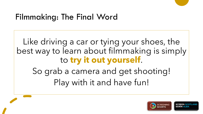## Filmmaking: The Final Word

Like driving a car or tying your shoes, the best way to learn about filmmaking is simply to **try it out yourself**. So grab a camera and get shooting! Play with it and have fun!